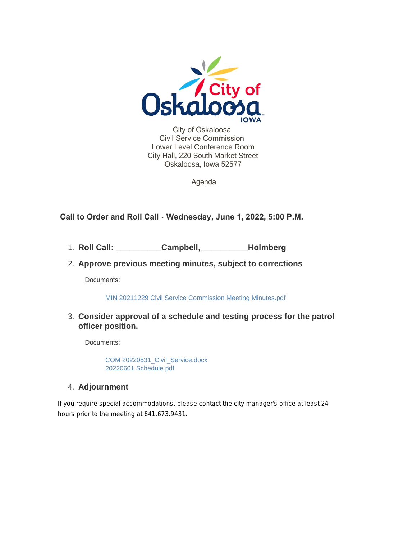

City of Oskaloosa Civil Service Commission Lower Level Conference Room City Hall, 220 South Market Street Oskaloosa, Iowa 52577

Agenda

#### **Call to Order and Roll Call - Wednesday, June 1, 2022, 5:00 P.M.**

- **Roll Call: \_\_\_\_\_\_\_\_\_\_Campbell, \_\_\_\_\_\_\_\_\_\_Holmberg** 1.
- **Approve previous meeting minutes, subject to corrections** 2.

Documents:

MIN 20211229 Civil Service Commission Meeting Minutes.pdf

**Consider approval of a schedule and testing process for the patrol**  3. **officer position.**

Documents:

COM 20220531\_Civil\_Service.docx 20220601 Schedule.pdf

#### **Adjournment** 4.

If you require special accommodations, please contact the city manager's office at least 24 hours prior to the meeting at 641.673.9431.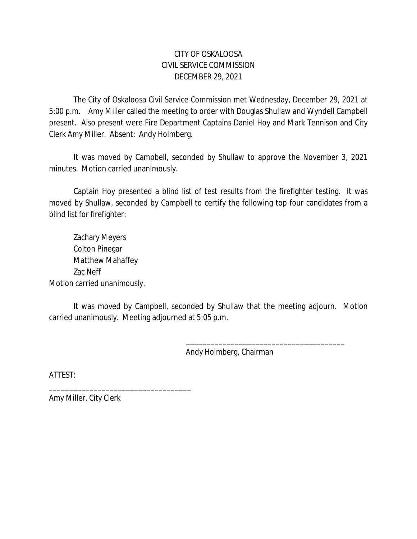# CITY OF OSKALOOSA CIVIL SERVICE COMMISSION DECEMBER 29, 2021

The City of Oskaloosa Civil Service Commission met Wednesday, December 29, 2021 at 5:00 p.m. Amy Miller called the meeting to order with Douglas Shullaw and Wyndell Campbell present. Also present were Fire Department Captains Daniel Hoy and Mark Tennison and City Clerk Amy Miller. Absent: Andy Holmberg.

It was moved by Campbell, seconded by Shullaw to approve the November 3, 2021 minutes. Motion carried unanimously.

Captain Hoy presented a blind list of test results from the firefighter testing. It was moved by Shullaw, seconded by Campbell to certify the following top four candidates from a blind list for firefighter:

Zachary Meyers Colton Pinegar Matthew Mahaffey Zac Neff Motion carried unanimously.

It was moved by Campbell, seconded by Shullaw that the meeting adjourn. Motion carried unanimously. Meeting adjourned at 5:05 p.m.

Andy Holmberg, Chairman

\_\_\_\_\_\_\_\_\_\_\_\_\_\_\_\_\_\_\_\_\_\_\_\_\_\_\_\_\_\_\_\_\_\_\_\_\_\_\_

ATTEST:

Amy Miller, City Clerk

\_\_\_\_\_\_\_\_\_\_\_\_\_\_\_\_\_\_\_\_\_\_\_\_\_\_\_\_\_\_\_\_\_\_\_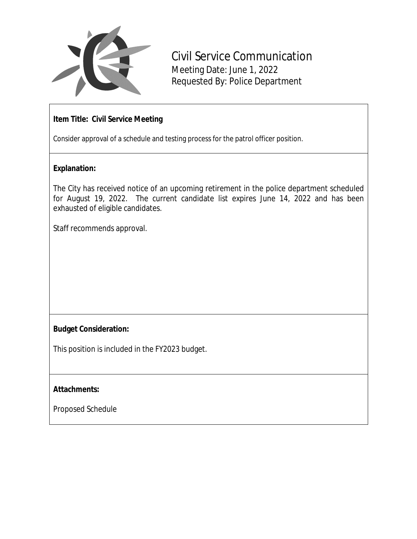

Civil Service Communication Meeting Date: June 1, 2022 Requested By: Police Department

## **Item Title: Civil Service Meeting**

Consider approval of a schedule and testing process for the patrol officer position.

### **Explanation:**

The City has received notice of an upcoming retirement in the police department scheduled for August 19, 2022. The current candidate list expires June 14, 2022 and has been exhausted of eligible candidates.

Staff recommends approval.

### **Budget Consideration:**

This position is included in the FY2023 budget.

### **Attachments:**

Proposed Schedule